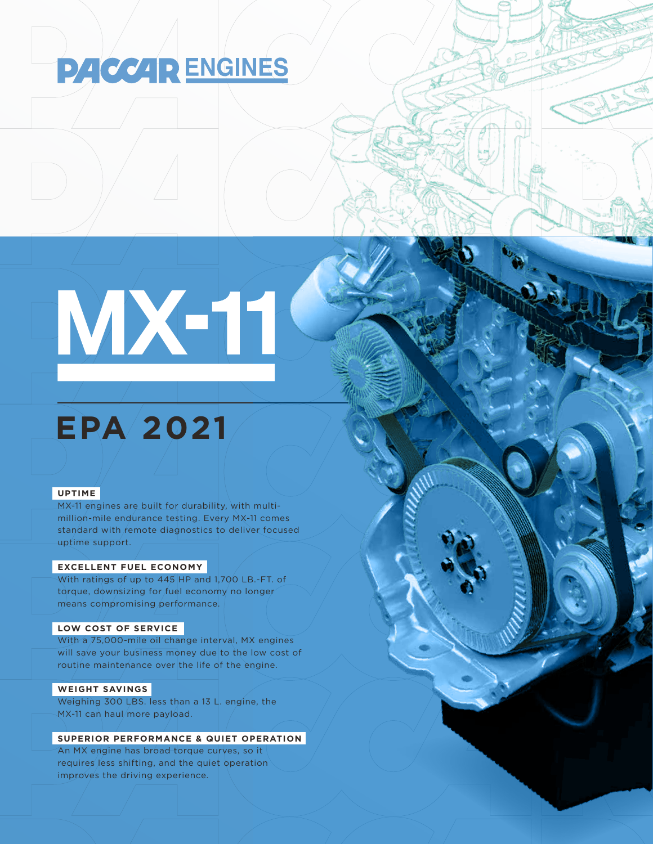## **PACCAR ENGINES**

# MX-11

### **EPA 2021**

#### **UPTIME**

MX-11 engines are built for durability, with multimillion-mile endurance testing. Every MX-11 comes standard with remote diagnostics to deliver focused uptime support.

#### **EXCELLENT FUEL ECONOMY**

With ratings of up to 445 HP and 1,700 LB.-FT. of torque, downsizing for fuel economy no longer means compromising performance.

#### **LOW COST OF SERVICE**

With a 75,000-mile oil change interval, MX engines will save your business money due to the low cost of routine maintenance over the life of the engine.

#### **WEIGHT SAVINGS**

Weighing 300 LBS. less than a 13 L. engine, the MX-11 can haul/more payload.

#### **SUPERIOR PERFORMANCE & QUIET OPERATION**

An MX engine has broad torque curves, so it requires less shifting, and the quiet operation improves the driving experience.